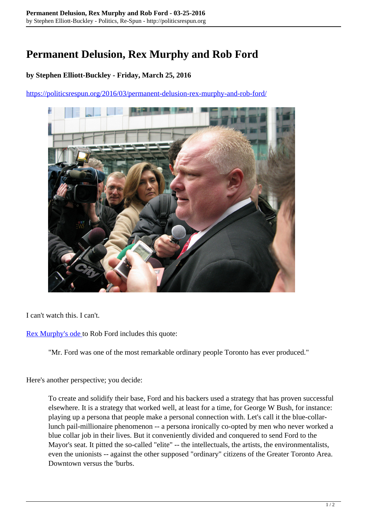## **Permanent Delusion, Rex Murphy and Rob Ford**

## **by Stephen Elliott-Buckley - Friday, March 25, 2016**

<https://politicsrespun.org/2016/03/permanent-delusion-rex-murphy-and-rob-ford/>



I can't watch this. I can't.

[Rex Murphy's ode t](http://www.cbc.ca/player/play/2685857523)o Rob Ford includes this quote:

"Mr. Ford was one of the most remarkable ordinary people Toronto has ever produced."

Here's another perspective; you decide:

To create and solidify their base, Ford and his backers used a strategy that has proven successful elsewhere. It is a strategy that worked well, at least for a time, for George W Bush, for instance: playing up a persona that people make a personal connection with. Let's call it the blue-collarlunch pail-millionaire phenomenon -- a persona ironically co-opted by men who never worked a blue collar job in their lives. But it conveniently divided and conquered to send Ford to the Mayor's seat. It pitted the so-called "elite" -- the intellectuals, the artists, the environmentalists, even the unionists -- against the other supposed "ordinary" citizens of the Greater Toronto Area. Downtown versus the 'burbs.